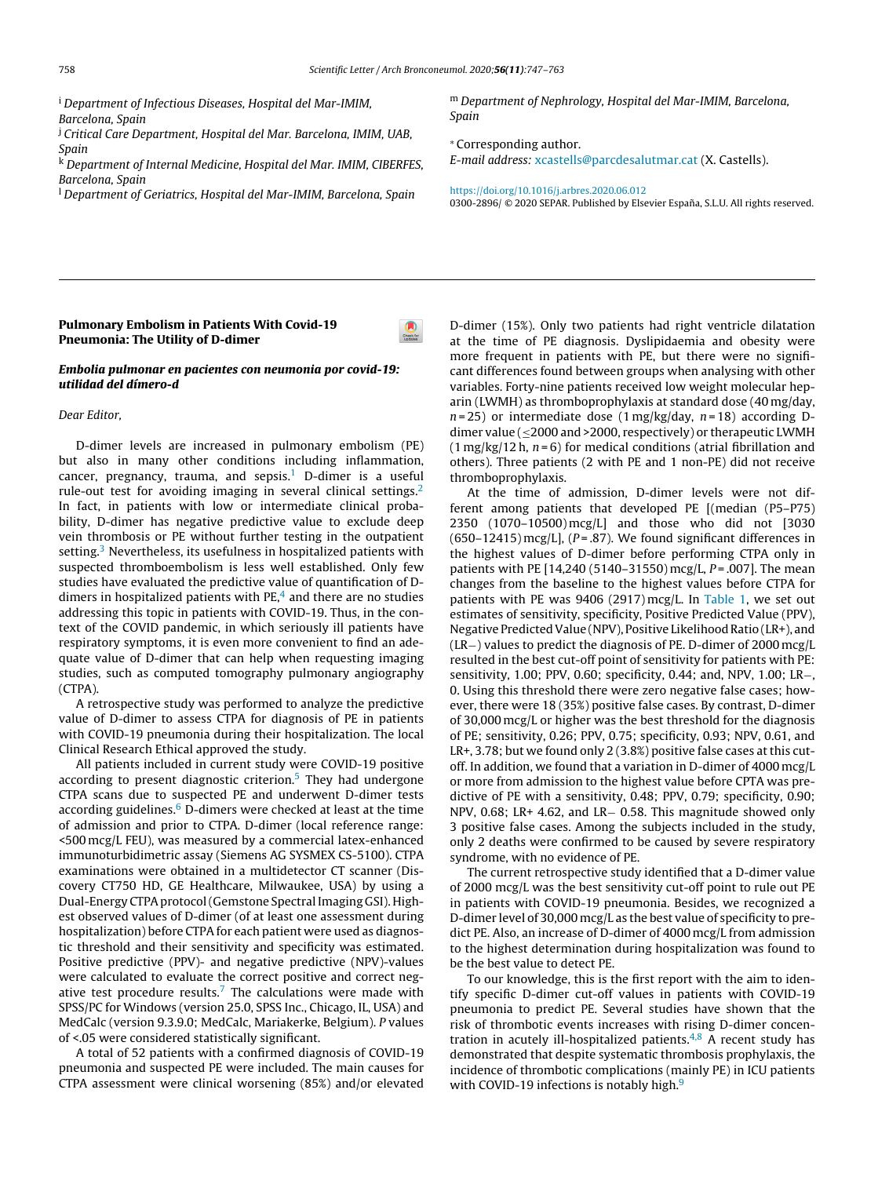<sup>i</sup> D[epartment](http://refhub.elsevier.com/S2173-5743(19)30124-8/sbref0120) [o](http://refhub.elsevier.com/S2173-5743(19)30124-8/sbref0120)f [Infectious](http://refhub.elsevier.com/S2173-5743(19)30124-8/sbref0120) Dise[ases,](http://refhub.elsevier.com/S2173-5743(19)30124-8/sbref0120) [Hospital](http://refhub.elsevier.com/S2173-5743(19)30124-8/sbref0120) del [Mar-I](http://refhub.elsevier.com/S2173-5743(19)30124-8/sbref0120)[M](dx.doi.org/10.1111/j.1469-0691.2009.03086.x)[IM,](http://refhub.elsevier.com/S2173-5743(19)30124-8/sbref0120) Ba[rcelona,](http://refhub.elsevier.com/S2173-5743(19)30124-8/sbref0120) Spa[in](http://refhub.elsevier.com/S2173-5743(19)30124-8/sbref0120)

<sup>j</sup> Cr[iti](http://refhub.elsevier.com/S2173-5743(19)30124-8/sbref0120)c[al](http://refhub.elsevier.com/S2173-5743(19)30124-8/sbref0120) Care Department, Hospital del Mar. Barcelona, IMIM, UAB, Sp[ain](http://refhub.elsevier.com/S2173-5743(19)30124-8/sbref0125)

<sup>k</sup> D[epartm](http://refhub.elsevier.com/S2173-5743(19)30124-8/sbref0130)[e](http://refhub.elsevier.com/S2173-5743(19)30124-8/sbref0125)[nt](http://refhub.elsevier.com/S2173-5743(19)30124-8/sbref0130) [of](http://refhub.elsevier.com/S2173-5743(19)30124-8/sbref0125) [Inte](http://refhub.elsevier.com/S2173-5743(19)30124-8/sbref0130)[r](http://refhub.elsevier.com/S2173-5743(19)30124-8/sbref0125)[nal](http://refhub.elsevier.com/S2173-5743(19)30124-8/sbref0130) [Medicin](http://refhub.elsevier.com/S2173-5743(19)30124-8/sbref0130)[e](http://refhub.elsevier.com/S2173-5743(19)30124-8/sbref0125)[,](http://refhub.elsevier.com/S2173-5743(19)30124-8/sbref0130) H[ospital](http://refhub.elsevier.com/S2173-5743(19)30124-8/sbref0130) del [Mar.](http://refhub.elsevier.com/S2173-5743(19)30124-8/sbref0130) IMIM, [CIBERFES,](http://refhub.elsevier.com/S2173-5743(19)30124-8/sbref0130) Ba[rce](http://refhub.elsevier.com/S2173-5743(19)30124-8/sbref0130)l[ona,](http://refhub.elsevier.com/S2173-5743(19)30124-8/sbref0130) S[pain](http://refhub.elsevier.com/S2173-5743(19)30124-8/sbref0130)

<sup>l</sup> D[epartm](http://refhub.elsevier.com/S2173-5743(19)30124-8/sbref0130)[e](http://refhub.elsevier.com/S2173-5743(19)30124-8/sbref0135)nt of [Geriatrics,](dx.doi.org/10.1016/j.pneumo.2009.08.003) H[ospital](http://refhub.elsevier.com/S2173-5743(19)30124-8/sbref0135) del [Mar-IMIM,](http://refhub.elsevier.com/S2173-5743(19)30124-8/sbref0135) B[arcelona,](http://refhub.elsevier.com/S2173-5743(19)30124-8/sbref0135) Spain

<sup>m</sup> Dep[artment](http://refhub.elsevier.com/S2173-5743(19)30124-8/sbref0115) of [Nephrology,](http://refhub.elsevier.com/S2173-5743(19)30124-8/sbref0115) [Hospital](http://refhub.elsevier.com/S2173-5743(19)30124-8/sbref0115) del [Mar-IMIM,](http://refhub.elsevier.com/S2173-5743(19)30124-8/sbref0115) [Barcelona,](http://refhub.elsevier.com/S2173-5743(19)30124-8/sbref0115) Spain

<sup>∗</sup> Corr[esponding](http://refhub.elsevier.com/S2173-5743(19)30124-8/sbref0120) aut[hor.](http://refhub.elsevier.com/S2173-5743(19)30124-8/sbref0120)

E-mail [address:](http://refhub.elsevier.com/S2173-5743(19)30124-8/sbref0125) [xcastells@parcdesalutmar.cat](mailto:xcastells@parcdesalutmar.cat) (X. [Castells\).](http://refhub.elsevier.com/S2173-5743(19)30124-8/sbref0125)

[https://d](https://doi.org/10.1016/j.arbres.2020.06.012)[oi.or](http://refhub.elsevier.com/S2173-5743(19)30124-8/sbref0130)[g/10](https://doi.org/10.1016/j.arbres.2020.06.012)[.101](http://refhub.elsevier.com/S2173-5743(19)30124-8/sbref0130)[6/](https://doi.org/10.1016/j.arbres.2020.06.012)[j.](http://refhub.elsevier.com/S2173-5743(19)30124-8/sbref0130)[a](https://doi.org/10.1016/j.arbres.2020.06.012)[rbres.2020.0](http://refhub.elsevier.com/S2173-5743(19)30124-8/sbref0130)[6.01](https://doi.org/10.1016/j.arbres.2020.06.012)[2](http://refhub.elsevier.com/S2173-5743(19)30124-8/sbref0130) 0300-2[896/](http://refhub.elsevier.com/S2173-5743(19)30124-8/sbref0130) © [2020](http://refhub.elsevier.com/S2173-5743(19)30124-8/sbref0130) SEPA[R.](http://refhub.elsevier.com/S2173-5743(19)30124-8/sbref0130) [Published](http://refhub.elsevier.com/S2173-5743(19)30124-8/sbref0130) by [Elsevier](http://refhub.elsevier.com/S2173-5743(19)30124-8/sbref0130) España, [S.L.U.](http://refhub.elsevier.com/S2173-5743(19)30124-8/sbref0130) All [rights](http://refhub.elsevier.com/S2173-5743(19)30124-8/sbref0130) [reserved.](http://refhub.elsevier.com/S2173-5743(19)30124-8/sbref0130)

# Pulmonary Embolism in Patients With Covid-19 Pneumonia: The Utility of D-dimer

## Embolia pulmonar en pacientes con neumonia por covid-19[:](http://crossmark.crossref.org/dialog/?doi=10.1016/j.arbr.2020.10.008&domain=pdf) utilidad del dímero-d

## Dear Editor,

D-dimer levels are increased in pulmonary embolism (PE) but also in many other conditions including inflammation, cancer, pregnancy, trauma, and sepsis.<sup>[1](#page-1-0)</sup> D-dimer is a useful rule-out test for avoiding imaging in several clinical setti[ngs.](http://crossmark.crossref.org/dialog/?doi=10.1016/j.arbr.2020.10.008&domain=pdf)<sup>[2](#page-1-0)</sup> In fact, in patients with low or intermediate clinical probability, D-dimer has negative predictive value to exclude deep vein thrombosis or PE without further testing in the outpatient setting.<sup>[3](#page-1-0)</sup> Nevertheless, its usefulness in hospitalized patients with suspe[cted](http://refhub.elsevier.com/S2173-5743(19)30124-8/sbref0090) [thromboembolism](http://refhub.elsevier.com/S2173-5743(19)30124-8/sbref0090) [i](http://refhub.elsevier.com/S2173-5743(19)30124-8/sbref0090)s [less](http://refhub.elsevier.com/S2173-5743(19)30124-8/sbref0090) [wel](http://refhub.elsevier.com/S2173-5743(19)30124-8/sbref0090)l [established.](http://refhub.elsevier.com/S2173-5743(19)30124-8/sbref0090) Onl[y](http://refhub.elsevier.com/S2173-5743(19)30124-8/sbref0090) [few](http://refhub.elsevier.com/S2173-5743(19)30124-8/sbref0090) studies [have](http://refhub.elsevier.com/S2173-5743(19)30124-8/sbref0090) [evaluated](http://refhub.elsevier.com/S2173-5743(19)30124-8/sbref0090) t[he](http://refhub.elsevier.com/S2173-5743(19)30124-8/sbref0090) p[redic](http://refhub.elsevier.com/S2173-5743(19)30124-8/sbref0090)tive [value](http://refhub.elsevier.com/S2173-5743(19)30124-8/sbref0090) of qua[ntification](http://refhub.elsevier.com/S2173-5743(19)30124-8/sbref0090) [o](http://refhub.elsevier.com/S2173-5743(19)30124-8/sbref0090)f [D](http://refhub.elsevier.com/S2173-5743(19)30124-8/sbref0090)dimers [in](http://refhub.elsevier.com/S2173-5743(19)30124-8/sbref0095) [hospi](http://refhub.elsevier.com/S2173-5743(19)30124-8/sbref0090)[t](http://refhub.elsevier.com/S2173-5743(19)30124-8/sbref0095)[a](http://refhub.elsevier.com/S2173-5743(19)30124-8/sbref0090)[lized](http://refhub.elsevier.com/S2173-5743(19)30124-8/sbref0095) [patients](http://refhub.elsevier.com/S2173-5743(19)30124-8/sbref0095) [wit](http://refhub.elsevier.com/S2173-5743(19)30124-8/sbref0095)h  $PE<sub>1</sub><sup>4</sup>$  $PE<sub>1</sub><sup>4</sup>$  $PE<sub>1</sub><sup>4</sup>$  a[nd](http://refhub.elsevier.com/S2173-5743(19)30124-8/sbref0095) [there](http://refhub.elsevier.com/S2173-5743(19)30124-8/sbref0095) a[re](http://refhub.elsevier.com/S2173-5743(19)30124-8/sbref0095) [no](http://refhub.elsevier.com/S2173-5743(19)30124-8/sbref0095) st[udies](http://refhub.elsevier.com/S2173-5743(19)30124-8/sbref0095) addre[ssing](http://refhub.elsevier.com/S2173-5743(19)30124-8/sbref0095) [this](http://refhub.elsevier.com/S2173-5743(19)30124-8/sbref0095) to[pic](http://refhub.elsevier.com/S2173-5743(19)30124-8/sbref0095) [in](http://refhub.elsevier.com/S2173-5743(19)30124-8/sbref0095) [patients](http://refhub.elsevier.com/S2173-5743(19)30124-8/sbref0095) [with](http://refhub.elsevier.com/S2173-5743(19)30124-8/sbref0095) CO[VID-19.](http://refhub.elsevier.com/S2173-5743(19)30124-8/sbref0095) [Thus,](http://refhub.elsevier.com/S2173-5743(19)30124-8/sbref0095) in the [con](http://refhub.elsevier.com/S2173-5743(19)30124-8/sbref0095)text of the [COVID](http://refhub.elsevier.com/S2173-5743(19)30124-8/sbref0095) [pandemic,](http://refhub.elsevier.com/S2173-5743(19)30124-8/sbref0095) in [which](http://refhub.elsevier.com/S2173-5743(19)30124-8/sbref0095) s[erious](http://refhub.elsevier.com/S2173-5743(19)30124-8/sbref0095)ly [ill](http://refhub.elsevier.com/S2173-5743(19)30124-8/sbref0095) [pat](http://refhub.elsevier.com/S2173-5743(19)30124-8/sbref0095)ients have respir[atory](http://refhub.elsevier.com/S2173-5743(19)30124-8/sbref0100) [symptoms,](http://refhub.elsevier.com/S2173-5743(19)30124-8/sbref0100) it is [even](http://refhub.elsevier.com/S2173-5743(19)30124-8/sbref0100) more [convenient](http://refhub.elsevier.com/S2173-5743(19)30124-8/sbref0100) to [find](http://refhub.elsevier.com/S2173-5743(19)30124-8/sbref0100) an [ade](http://refhub.elsevier.com/S2173-5743(19)30124-8/sbref0100)quate [value](http://refhub.elsevier.com/S2173-5743(19)30124-8/sbref0105) [o](http://refhub.elsevier.com/S2173-5743(19)30124-8/sbref0105)f [D-dim](http://refhub.elsevier.com/S2173-5743(19)30124-8/sbref0105)er [that](http://refhub.elsevier.com/S2173-5743(19)30124-8/sbref0105) [can](http://refhub.elsevier.com/S2173-5743(19)30124-8/sbref0105) [help](http://refhub.elsevier.com/S2173-5743(19)30124-8/sbref0105) [w](http://refhub.elsevier.com/S2173-5743(19)30124-8/sbref0105)hen [requesting](http://refhub.elsevier.com/S2173-5743(19)30124-8/sbref0105) [imaging](http://refhub.elsevier.com/S2173-5743(19)30124-8/sbref0105) studies, [such](http://refhub.elsevier.com/S2173-5743(19)30124-8/sbref0105) as [computed](http://refhub.elsevier.com/S2173-5743(19)30124-8/sbref0105) [tomograp](http://refhub.elsevier.com/S2173-5743(19)30124-8/sbref0105)hy [pulmonary](http://refhub.elsevier.com/S2173-5743(19)30124-8/sbref0105) [angiography](http://refhub.elsevier.com/S2173-5743(19)30124-8/sbref0105) (CTPA[\).](http://refhub.elsevier.com/S2173-5743(19)30124-8/sbref0105)

A [retrospect](http://refhub.elsevier.com/S2173-5743(19)30124-8/sbref0110)ive [study](http://refhub.elsevier.com/S2173-5743(19)30124-8/sbref0110) [was](http://refhub.elsevier.com/S2173-5743(19)30124-8/sbref0110) pe[rformed](http://refhub.elsevier.com/S2173-5743(19)30124-8/sbref0110) [to](http://refhub.elsevier.com/S2173-5743(19)30124-8/sbref0110) [analyz](http://refhub.elsevier.com/S2173-5743(19)30124-8/sbref0110)e [the](http://refhub.elsevier.com/S2173-5743(19)30124-8/sbref0110) pre[dictive](http://refhub.elsevier.com/S2173-5743(19)30124-8/sbref0110) value [of](http://refhub.elsevier.com/S2173-5743(19)30124-8/sbref0110) [D-dimer](http://refhub.elsevier.com/S2173-5743(19)30124-8/sbref0110) [to](http://refhub.elsevier.com/S2173-5743(19)30124-8/sbref0110) [assess](http://refhub.elsevier.com/S2173-5743(19)30124-8/sbref0110) [CTP](http://refhub.elsevier.com/S2173-5743(19)30124-8/sbref0110)A [for](http://refhub.elsevier.com/S2173-5743(19)30124-8/sbref0110) di[agnosis](http://refhub.elsevier.com/S2173-5743(19)30124-8/sbref0110) of [PE](http://refhub.elsevier.com/S2173-5743(19)30124-8/sbref0110) in [patients](http://refhub.elsevier.com/S2173-5743(19)30124-8/sbref0110) with [COVID-1](http://refhub.elsevier.com/S2173-5743(19)30124-8/sbref0110)9 [pneumonia](http://refhub.elsevier.com/S2173-5743(19)30124-8/sbref0110) during their hospitalization. The local Clinical Research Ethical approved the study.

All patients included in current study were COVID-19 positive according to present diagnostic criterion.<sup>[5](#page-1-0)</sup> They had undergone CTPA scans due to suspected PE and underwent D-dimer tes[ts](http://crossmark.crossref.org/dialog/?doi=10.1016/j.arbr.2020.10.008&domain=pdf) according guidelines. $6$  [D](#page-1-0)-dimers were checked at least at the time of admission and prior to CTPA. D-dimer (local reference range: <500 mcg/L FEU), was measured by a commercial latex-enhanced immunoturbidimetric assay (Siemens AG SYSMEX CS-5100). CTPA examinations were obtained in a multidetector CT scanner (Discovery CT750 HD, GE Healthcare, Milwaukee, USA) by using a Dual-Energy CTPAprotocol(Gemstone Spectral Imaging GSI). Highest observed values of D-dimer (of at least one assessment during hospitalization) before CTPA for each patient were used as diagnostic threshold and their sensitivity and specificity was estimated. Positive [predictive](dx.doi.org/10.2807/1560-7917.ES.15.2000125) (PPV)- and negative [predictive](dx.doi.org/10.1007/s00038-019-01270-9) (NPV)-values were calculated to evaluate the correct positive and correct negative test procedure results. $7$  The calculations were made with SPSS/PC for [Windows](dx.doi.org/10.1007/s00330-020-06827-4) (version 25.0, SPSS Inc., Chicago, IL, USA) and MedCalc (version 9.3.9.0; MedCalc, Mariakerke, Belgium). P values of <.05 were considered [statistically](dx.doi.org/10.1016/j.ejrad.2020.109008) significant.

A total of 52 patients with a confirmed diagnosis of COVID-19 pneumonia and suspected PE were included. The main causes for CTPA [assessment](dx.doi.org/10.1016/S0140-6736(20)30211-7) were clinical worsening (85%) and/or elevated

D-di[mer](http://refhub.elsevier.com/S2173-5743(19)30124-8/sbref0145) [\(15%\).](http://refhub.elsevier.com/S2173-5743(19)30124-8/sbref0145) [Only](http://refhub.elsevier.com/S2173-5743(19)30124-8/sbref0145) two [patients](http://refhub.elsevier.com/S2173-5743(19)30124-8/sbref0145) [had](http://refhub.elsevier.com/S2173-5743(19)30124-8/sbref0145) [right](http://refhub.elsevier.com/S2173-5743(19)30124-8/sbref0145) [ventricle](http://refhub.elsevier.com/S2173-5743(19)30124-8/sbref0145) [dilatation](http://refhub.elsevier.com/S2173-5743(19)30124-8/sbref0145) at the [time](http://refhub.elsevier.com/S2173-5743(19)30124-8/sbref0150) [of](http://refhub.elsevier.com/S2173-5743(19)30124-8/sbref0150) [PE](http://refhub.elsevier.com/S2173-5743(19)30124-8/sbref0150) d[iagnosis.](http://refhub.elsevier.com/S2173-5743(19)30124-8/sbref0150) [Dy](mailto:mariapilar.escribano@salud.madrid.org)[sli](http://refhub.elsevier.com/S2173-5743(19)30124-8/sbref0150)[pi](mailto:mariapilar.escribano@salud.madrid.org)[daemia](http://refhub.elsevier.com/S2173-5743(19)30124-8/sbref0150) a[nd](http://refhub.elsevier.com/S2173-5743(19)30124-8/sbref0150) [obes](http://refhub.elsevier.com/S2173-5743(19)30124-8/sbref0150)ity [were](http://refhub.elsevier.com/S2173-5743(19)30124-8/sbref0150) more [frequent](http://refhub.elsevier.com/S2173-5743(19)30124-8/sbref0150) [in](http://refhub.elsevier.com/S2173-5743(19)30124-8/sbref0150) [patients](http://refhub.elsevier.com/S2173-5743(19)30124-8/sbref0150) [with](http://refhub.elsevier.com/S2173-5743(19)30124-8/sbref0150) PE, [bu](http://refhub.elsevier.com/S2173-5743(19)30124-8/sbref0150)t [there](http://refhub.elsevier.com/S2173-5743(19)30124-8/sbref0150) [were](http://refhub.elsevier.com/S2173-5743(19)30124-8/sbref0150) no s[ignifi](http://refhub.elsevier.com/S2173-5743(19)30124-8/sbref0150)cant d[ifference](http://refhub.elsevier.com/S2173-5743(19)30124-8/sbref0150)s [found](http://refhub.elsevier.com/S2173-5743(19)30124-8/sbref0150) [between](http://refhub.elsevier.com/S2173-5743(19)30124-8/sbref0150) g[roup](http://refhub.elsevier.com/S2173-5743(19)30124-8/sbref0150)s [wh](http://refhub.elsevier.com/S2173-5743(19)30124-8/sbref0150)en analysing with other variables. [Forty-nine](https://doi.org/10.1016/j.arbres.2020.06.004) patients received low weight molecular heparin (LWMH) as [thromboprophylaxis](https://jamanetwork.com/journals/jama/fullarticle/2766290) at standard dose (40 mg/day,  $n = 25$ ) or intermediate dose (1 mg/kg/day,  $n = 18$ ) according Ddimer value ( $\leq$ 2000 and >2000, respectively) or therapeutic LWMH  $(1 \text{ mg/kg}/12 \text{ h}, n = 6)$  for medical [conditions](https://jamanetwork.com/journals/jama/fullarticle/2766292) (atrial fibrillation and others). Three patients (2 with PE and 1 non-PE) did not receive thro[mboprophylaxis.](https://www.sccm.org/getattachment/Disaster/Joint-Statement-on-Multiple-Patients-Per-Ventilato/Joint-Statement-Patients-Single-Ventilator.pdf?lang=en-US)

At the time of [admission,](https://jamanetwork.com/journals/jama/fullarticle/2766291) D-dimer levels were not different [am](https://www.sccm.org/getattachment/Disaster/Joint-Statement-on-Multiple-Patients-Per-Ventilato/Joint-Statement-Patients-Single-Ventilator.pdf?lang=en-US)[on](http://refhub.elsevier.com/S2173-5743(19)30124-8/sbref0170)g [patien](http://refhub.elsevier.com/S2173-5743(19)30124-8/sbref0040)[ts](http://refhub.elsevier.com/S2173-5743(19)30124-8/sbref0170) [that](http://refhub.elsevier.com/S2173-5743(19)30124-8/sbref0040) [developed](http://refhub.elsevier.com/S2173-5743(19)30124-8/sbref0170) [PE](http://refhub.elsevier.com/S2173-5743(19)30124-8/sbref0170) [\[\(me](http://refhub.elsevier.com/S2173-5743(19)30124-8/sbref0170)[d](http://refhub.elsevier.com/S2173-5743(19)30124-8/sbref0040)[ia](http://refhub.elsevier.com/S2173-5743(19)30124-8/sbref0170)[n](http://refhub.elsevier.com/S2173-5743(19)30124-8/sbref0040) ([P5–P75\)](http://refhub.elsevier.com/S2173-5743(19)30124-8/sbref0040) 2350 [\(1](http://refhub.elsevier.com/S2173-5743(19)30124-8/sbref0040)[0](http://refhub.elsevier.com/S2173-5743(19)30124-8/sbref0170)[7](http://refhub.elsevier.com/S2173-5743(19)30124-8/sbref0040)[0–105](http://refhub.elsevier.com/S2173-5743(19)30124-8/sbref0170)[00\)](http://refhub.elsevier.com/S2173-5743(19)30124-8/sbref0040) [mc](http://refhub.elsevier.com/S2173-5743(19)30124-8/sbref0170)[g](http://refhub.elsevier.com/S2173-5743(19)30124-8/sbref0040)[/L\]](http://refhub.elsevier.com/S2173-5743(19)30124-8/sbref0170) [a](http://refhub.elsevier.com/S2173-5743(19)30124-8/sbref0040)[nd](http://refhub.elsevier.com/S2173-5743(19)30124-8/sbref0170) [t](http://refhub.elsevier.com/S2173-5743(19)30124-8/sbref0040)[hose](http://refhub.elsevier.com/S2173-5743(19)30124-8/sbref0170) [who](http://refhub.elsevier.com/S2173-5743(19)30124-8/sbref0040) did [not](http://refhub.elsevier.com/S2173-5743(19)30124-8/sbref0040) [\[3](http://refhub.elsevier.com/S2173-5743(19)30124-8/sbref0170)[030](http://refhub.elsevier.com/S2173-5743(19)30124-8/sbref0040)  $(650-12415)$  [mcg/L\],](http://refhub.elsevier.com/S2173-5743(19)30124-8/sbref0040)  $(P=.87)$ . We found [significant](dx.doi.org/10.34133/2020/2402961) differences in the [highest](http://refhub.elsevier.com/S2173-5743(19)30124-8/sbref0045) [value](http://refhub.elsevier.com/S2173-5743(19)30124-8/sbref0045)s [of](http://refhub.elsevier.com/S2173-5743(19)30124-8/sbref0045) [D-dim](http://refhub.elsevier.com/S2173-5743(19)30124-8/sbref0045)er [before](http://refhub.elsevier.com/S2173-5743(19)30124-8/sbref0045) [performing](http://refhub.elsevier.com/S2173-5743(19)30124-8/sbref0045) CTPA [only](http://refhub.elsevier.com/S2173-5743(19)30124-8/sbref0045) i[n](http://refhub.elsevier.com/S2173-5743(19)30124-8/sbref0045) pati[ents](http://refhub.elsevier.com/S2173-5743(19)30124-8/sbref0050) wi[th](http://refhub.elsevier.com/S2173-5743(19)30124-8/sbref0050) [PE](http://refhub.elsevier.com/S2173-5743(19)30124-8/sbref0045) [\[14,2](http://refhub.elsevier.com/S2173-5743(19)30124-8/sbref0050)[4](http://refhub.elsevier.com/S2173-5743(19)30124-8/sbref0045)[0](http://refhub.elsevier.com/S2173-5743(19)30124-8/sbref0050) [\(5140–](http://refhub.elsevier.com/S2173-5743(19)30124-8/sbref0050)[3](http://refhub.elsevier.com/S2173-5743(19)30124-8/sbref0045)[1](http://refhub.elsevier.com/S2173-5743(19)30124-8/sbref0050)[550\)](http://refhub.elsevier.com/S2173-5743(19)30124-8/sbref0045) [mcg/L,](http://refhub.elsevier.com/S2173-5743(19)30124-8/sbref0050)  $P = .007$  $P = .007$ ]. [The](http://refhub.elsevier.com/S2173-5743(19)30124-8/sbref0050) [mean](http://refhub.elsevier.com/S2173-5743(19)30124-8/sbref0050) chan[ge](http://refhub.elsevier.com/S2173-5743(19)30124-8/sbref0050)s [from](http://refhub.elsevier.com/S2173-5743(19)30124-8/sbref0050) [t](http://refhub.elsevier.com/S2173-5743(19)30124-8/sbref0050)he [bas](http://refhub.elsevier.com/S2173-5743(19)30124-8/sbref0050)[el](dx.doi.org/10.1080/17476348.2020.1761791)[ine](http://refhub.elsevier.com/S2173-5743(19)30124-8/sbref0050) to the [highest](http://refhub.elsevier.com/S2173-5743(19)30124-8/sbref0050) [values](http://refhub.elsevier.com/S2173-5743(19)30124-8/sbref0050) b[efore](http://refhub.elsevier.com/S2173-5743(19)30124-8/sbref0050) C[TPA](http://refhub.elsevier.com/S2173-5743(19)30124-8/sbref0050) f[or](http://refhub.elsevier.com/S2173-5743(19)30124-8/sbref0050) patients [with](http://refhub.elsevier.com/S2173-5743(19)30124-8/sbref0050) PE [w](http://refhub.elsevier.com/S2173-5743(19)30124-8/sbref0050)as 9406 (2917) mcg/L. In [Table](#page-1-0) 1, we set out esti[mates](http://refhub.elsevier.com/S2173-5743(19)30124-8/sbref0055) of [sensitivity,](http://refhub.elsevier.com/S2173-5743(19)30124-8/sbref0055) [specificity,](http://refhub.elsevier.com/S2173-5743(19)30124-8/sbref0055) [Positive](http://refhub.elsevier.com/S2173-5743(19)30124-8/sbref0055) [Predicted](http://refhub.elsevier.com/S2173-5743(19)30124-8/sbref0055) V[alu](http://refhub.elsevier.com/S2173-5743(19)30124-8/sbref0055)e [\(PPV\),](http://refhub.elsevier.com/S2173-5743(19)30124-8/sbref0055) Negative [Predic](http://refhub.elsevier.com/S2173-5743(19)30124-8/sbref0055)[t](dx.doi.org/10.1002/ejhf.1871)ed V[a](dx.doi.org/10.1002/ejhf.1871)[lu](http://refhub.elsevier.com/S2173-5743(19)30124-8/sbref0055)[e](dx.doi.org/10.1002/ejhf.1871) [\(NPV\)](http://refhub.elsevier.com/S2173-5743(19)30124-8/sbref0055), [Positiv](http://refhub.elsevier.com/S2173-5743(19)30124-8/sbref0055)e Likelihood Ratio [\(L](http://refhub.elsevier.com/S2173-5743(19)30124-8/sbref0055)R+), and (LR−) [value](http://refhub.elsevier.com/S2173-5743(19)30124-8/sbref0060)s [to](http://refhub.elsevier.com/S2173-5743(19)30124-8/sbref0060) [predict](http://refhub.elsevier.com/S2173-5743(19)30124-8/sbref0060) t[he](http://refhub.elsevier.com/S2173-5743(19)30124-8/sbref0060) [diagnosis](http://refhub.elsevier.com/S2173-5743(19)30124-8/sbref0060) [of](http://refhub.elsevier.com/S2173-5743(19)30124-8/sbref0060) [PE](http://refhub.elsevier.com/S2173-5743(19)30124-8/sbref0060). [D-dime](http://refhub.elsevier.com/S2173-5743(19)30124-8/sbref0060)r [of](http://refhub.elsevier.com/S2173-5743(19)30124-8/sbref0060) [2000](http://refhub.elsevier.com/S2173-5743(19)30124-8/sbref0060) [mcg/L](http://refhub.elsevier.com/S2173-5743(19)30124-8/sbref0060) resu[lted](http://refhub.elsevier.com/S2173-5743(19)30124-8/sbref0060) in [the](http://refhub.elsevier.com/S2173-5743(19)30124-8/sbref0060) be[st](http://refhub.elsevier.com/S2173-5743(19)30124-8/sbref0060) [cut-off](dx.doi.org/10.1016/j.kint.2020.05.006) [point](http://refhub.elsevier.com/S2173-5743(19)30124-8/sbref0060) of [sensitivity](mailto:saurabh_kgmu@yahoo.co.in) f[or](http://refhub.elsevier.com/S2173-5743(19)30124-8/sbref0060) p[atients](http://refhub.elsevier.com/S2173-5743(19)30124-8/sbref0060) [with](http://refhub.elsevier.com/S2173-5743(19)30124-8/sbref0060) [PE:](http://refhub.elsevier.com/S2173-5743(19)30124-8/sbref0060) sensitivity, 1.00; PPV, 0.60; specificity, 0.44; and, NPV, 1.00; LR−, 0. Using this [threshold](https://doi.org/10.1016/j.arbres.2020.06.002) there were zero negative false cases; however, there were 18 (35%) positive false cases. By contrast, D-dimer of 30,000 mcg/L or higher was the best threshold for the diagnosis of PE; sensitivity, 0.26; PPV, 0.75; specificity, 0.93; NPV, 0.61, and LR+, 3.78; but we found only 2 (3.8%) positive false cases at this cutoff. In addition, we found that a variation in D-dimer of 4000 mcg/L or more from admission to the highest value before CPTA was predictive of PE with a sensitivity, 0.48; PPV, 0.79; specificity, 0.90; NPV, 0.68; LR+ 4.62, and LR– 0.58. This magnitude showed only 3 positive false cases. Among the subjects included in the study, only 2 [deaths](http://refhub.elsevier.com/S2173-5743(19)30124-8/sbref0080) [we](http://refhub.elsevier.com/S2173-5743(19)30124-8/sbref0080)re [con](http://refhub.elsevier.com/S2173-5743(19)30124-8/sbref0080)[fi](dx.doi.org/10.1093/jtm/taaa062)[r](http://refhub.elsevier.com/S2173-5743(19)30124-8/sbref0080)[m](dx.doi.org/10.1093/jtm/taaa062)[ed](http://refhub.elsevier.com/S2173-5743(19)30124-8/sbref0080) [to](http://refhub.elsevier.com/S2173-5743(19)30124-8/sbref0080) be [cau](http://refhub.elsevier.com/S2173-5743(19)30124-8/sbref0080)sed by [severe](http://refhub.elsevier.com/S2173-5743(19)30124-8/sbref0080) [respiratory](http://refhub.elsevier.com/S2173-5743(19)30124-8/sbref0080) syndr[ome,](http://refhub.elsevier.com/S2173-5743(19)30124-8/sbref0080) [with](http://refhub.elsevier.com/S2173-5743(19)30124-8/sbref0080) no [evidence](mailto:martin.angulo@hc.edu.uy) [of](http://refhub.elsevier.com/S2173-5743(19)30124-8/sbref0080) [PE.](http://refhub.elsevier.com/S2173-5743(19)30124-8/sbref0080)

The [curre](http://refhub.elsevier.com/S2173-5743(19)30124-8/sbref0085)nt [retrospective](http://refhub.elsevier.com/S2173-5743(19)30124-8/sbref0085) [study](http://refhub.elsevier.com/S2173-5743(19)30124-8/sbref0085) [identified](http://refhub.elsevier.com/S2173-5743(19)30124-8/sbref0085) that a [D-dim](http://refhub.elsevier.com/S2173-5743(19)30124-8/sbref0085)er [value](http://refhub.elsevier.com/S2173-5743(19)30124-8/sbref0085) of 20[00](http://refhub.elsevier.com/S2173-5743(19)30124-8/sbref0085) [mcg/L](http://refhub.elsevier.com/S2173-5743(19)30124-8/sbref0085) [w](http://refhub.elsevier.com/S2173-5743(19)30124-8/sbref0085)as [the](http://refhub.elsevier.com/S2173-5743(19)30124-8/sbref0085) best [sensitivity](https://doi.org/10.1016/j.arbres.2020.06.006) [cut-off](dx.doi.org/10.3348/kjr.2020.0281) point to rule out PE in pa[tients](http://refhub.elsevier.com/S2173-5743(19)30124-8/sbref0090) [with](http://refhub.elsevier.com/S2173-5743(19)30124-8/sbref0090) [COVID-19](http://refhub.elsevier.com/S2173-5743(19)30124-8/sbref0090) [pneumonia.](http://refhub.elsevier.com/S2173-5743(19)30124-8/sbref0090) [Besides,](http://refhub.elsevier.com/S2173-5743(19)30124-8/sbref0090) [we](http://refhub.elsevier.com/S2173-5743(19)30124-8/sbref0090) [recognized](http://refhub.elsevier.com/S2173-5743(19)30124-8/sbref0090) a D-dimer [level](http://refhub.elsevier.com/S2173-5743(19)30124-8/sbref0095) of [30,00](http://refhub.elsevier.com/S2173-5743(19)30124-8/sbref0095)0 [mc](http://refhub.elsevier.com/S2173-5743(19)30124-8/sbref0095)[g/L](dx.doi.org/10.3348/kjr.2020.0180) as the [best](http://refhub.elsevier.com/S2173-5743(19)30124-8/sbref0095) [value](http://refhub.elsevier.com/S2173-5743(19)30124-8/sbref0095) of [specificity](http://refhub.elsevier.com/S2173-5743(19)30124-8/sbref0095) to [pre](http://refhub.elsevier.com/S2173-5743(19)30124-8/sbref0095)dict PE. [Also,](http://refhub.elsevier.com/S2173-5743(19)30124-8/sbref0095) an [incre](http://refhub.elsevier.com/S2173-5743(19)30124-8/sbref0095)ase of [D-dime](http://refhub.elsevier.com/S2173-5743(19)30124-8/sbref0095)r [of](http://refhub.elsevier.com/S2173-5743(19)30124-8/sbref0095) 4000 [mcg](http://refhub.elsevier.com/S2173-5743(19)30124-8/sbref0095)/L [from](http://refhub.elsevier.com/S2173-5743(19)30124-8/sbref0095) [admission](http://refhub.elsevier.com/S2173-5743(19)30124-8/sbref0095) to the [highest](http://refhub.elsevier.com/S2173-5743(19)30124-8/sbref0095) [determination](dx.doi.org/10.1016/S1473-3099(20)30156-0) [during](http://refhub.elsevier.com/S2173-5743(19)30124-8/sbref0100) [hospitalization](http://refhub.elsevier.com/S2173-5743(19)30124-8/sbref0100) [was](http://refhub.elsevier.com/S2173-5743(19)30124-8/sbref0100) f[ound](http://refhub.elsevier.com/S2173-5743(19)30124-8/sbref0100) to be the [best](http://refhub.elsevier.com/S2173-5743(19)30124-8/sbref0100) [value](http://refhub.elsevier.com/S2173-5743(19)30124-8/sbref0100) [to](http://refhub.elsevier.com/S2173-5743(19)30124-8/sbref0100) [dete](http://refhub.elsevier.com/S2173-5743(19)30124-8/sbref0100)ct PE.

To [our](http://refhub.elsevier.com/S2173-5743(19)30124-8/sbref0105) k[now](http://refhub.elsevier.com/S2173-5743(19)30124-8/sbref0105)[l](dx.doi.org/10.1007/s00330-020-06817-6)[edge,](http://refhub.elsevier.com/S2173-5743(19)30124-8/sbref0105) t[his](http://refhub.elsevier.com/S2173-5743(19)30124-8/sbref0105) is [the](http://refhub.elsevier.com/S2173-5743(19)30124-8/sbref0105) [fir](http://refhub.elsevier.com/S2173-5743(19)30124-8/sbref0105)st [report](http://refhub.elsevier.com/S2173-5743(19)30124-8/sbref0105) with the [aim](http://refhub.elsevier.com/S2173-5743(19)30124-8/sbref0105) to [iden](http://refhub.elsevier.com/S2173-5743(19)30124-8/sbref0105)tify s[pec](http://refhub.elsevier.com/S2173-5743(19)30124-8/sbref0105)ific [D-dime](http://refhub.elsevier.com/S2173-5743(19)30124-8/sbref0105)r [cut-o](http://refhub.elsevier.com/S2173-5743(19)30124-8/sbref0105)f[f](http://refhub.elsevier.com/S2173-5743(19)30124-8/sbref0105) [values](http://refhub.elsevier.com/S2173-5743(19)30124-8/sbref0105) in [patients](http://refhub.elsevier.com/S2173-5743(19)30124-8/sbref0105) [with](http://refhub.elsevier.com/S2173-5743(19)30124-8/sbref0105) [COVID-19](http://refhub.elsevier.com/S2173-5743(19)30124-8/sbref0105) pneu[monia](http://refhub.elsevier.com/S2173-5743(19)30124-8/sbref0105) to predict [PE.](http://refhub.elsevier.com/S2173-5743(19)30124-8/sbref0105) Several studies have shown that the risk of [thrombotic](http://refhub.elsevier.com/S2173-5743(19)30124-8/sbref0110) [event](http://refhub.elsevier.com/S2173-5743(19)30124-8/sbref0110)s [inc](http://refhub.elsevier.com/S2173-5743(19)30124-8/sbref0110)[r](dx.doi.org/10.1007/s11739-015-1229-1)[eas](http://refhub.elsevier.com/S2173-5743(19)30124-8/sbref0110)[e](dx.doi.org/10.1007/s11739-015-1229-1)[s](http://refhub.elsevier.com/S2173-5743(19)30124-8/sbref0110) [with](http://refhub.elsevier.com/S2173-5743(19)30124-8/sbref0110) rising [D-dim](http://refhub.elsevier.com/S2173-5743(19)30124-8/sbref0110)er [concen](http://refhub.elsevier.com/S2173-5743(19)30124-8/sbref0110)tratio[n](http://refhub.elsevier.com/S2173-5743(19)30124-8/sbref0110) [in](http://refhub.elsevier.com/S2173-5743(19)30124-8/sbref0110) ac[ute](http://refhub.elsevier.com/S2173-5743(19)30124-8/sbref0115)ly [ill-hospita](http://refhub.elsevier.com/S2173-5743(19)30124-8/sbref0110)[l](http://refhub.elsevier.com/S2173-5743(19)30124-8/sbref0115)[ized](http://refhub.elsevier.com/S2173-5743(19)30124-8/sbref0110) [patients](http://refhub.elsevier.com/S2173-5743(19)30124-8/sbref0110). $4,8$  $4,8$  A [recent](http://refhub.elsevier.com/S2173-5743(19)30124-8/sbref0110) s[tud](http://refhub.elsevier.com/S2173-5743(19)30124-8/sbref0110)y [has](http://refhub.elsevier.com/S2173-5743(19)30124-8/sbref0115) demo[nstrated](http://refhub.elsevier.com/S2173-5743(19)30124-8/sbref0115) that despite [systemat](http://refhub.elsevier.com/S2173-5743(19)30124-8/sbref0115)ic [thrombosis](dx.doi.org/10.4329/wjr.v6.i11.850) p[rophylaxis,](http://refhub.elsevier.com/S2173-5743(19)30124-8/sbref0115) the incide[nce](http://refhub.elsevier.com/S2173-5743(19)30124-8/sbref0115) [of](http://refhub.elsevier.com/S2173-5743(19)30124-8/sbref0115) t[hrombotic](http://refhub.elsevier.com/S2173-5743(19)30124-8/sbref0115) complications (mainly PE) in ICU patients with COVID-1[9](#page-1-0) infections is notably high.<sup>9</sup>